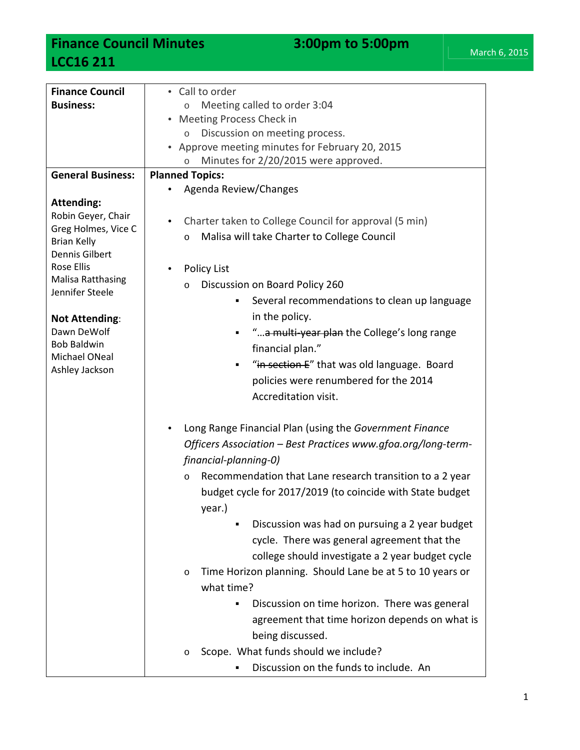## **Finance Council Minutes 3:00pm to 5:00pm LCC16 211**

| <b>Finance Council</b>                      | • Call to order                                                      |
|---------------------------------------------|----------------------------------------------------------------------|
| <b>Business:</b>                            | Meeting called to order 3:04<br>$\circ$                              |
|                                             | • Meeting Process Check in                                           |
|                                             | Discussion on meeting process.<br>$\circ$                            |
|                                             | • Approve meeting minutes for February 20, 2015                      |
|                                             | Minutes for 2/20/2015 were approved.<br>$\circ$                      |
| <b>General Business:</b>                    | <b>Planned Topics:</b>                                               |
|                                             | Agenda Review/Changes                                                |
| <b>Attending:</b>                           |                                                                      |
| Robin Geyer, Chair                          | Charter taken to College Council for approval (5 min)<br>$\bullet$   |
| Greg Holmes, Vice C                         | Malisa will take Charter to College Council<br>$\circ$               |
| <b>Brian Kelly</b><br><b>Dennis Gilbert</b> |                                                                      |
| <b>Rose Ellis</b>                           | <b>Policy List</b>                                                   |
| <b>Malisa Ratthasing</b>                    |                                                                      |
| Jennifer Steele                             | Discussion on Board Policy 260<br>$\circ$                            |
|                                             | Several recommendations to clean up language<br>٠                    |
| <b>Not Attending:</b>                       | in the policy.                                                       |
| Dawn DeWolf                                 | "a multi year plan the College's long range                          |
| <b>Bob Baldwin</b><br>Michael ONeal         | financial plan."                                                     |
| Ashley Jackson                              | "in section E" that was old language. Board<br>٠                     |
|                                             | policies were renumbered for the 2014                                |
|                                             | Accreditation visit.                                                 |
|                                             |                                                                      |
|                                             | Long Range Financial Plan (using the Government Finance              |
|                                             | Officers Association - Best Practices www.gfoa.org/long-term-        |
|                                             | financial-planning-0)                                                |
|                                             | Recommendation that Lane research transition to a 2 year<br>$\circ$  |
|                                             | budget cycle for 2017/2019 (to coincide with State budget            |
|                                             | year.)                                                               |
|                                             | Discussion was had on pursuing a 2 year budget<br>٠                  |
|                                             |                                                                      |
|                                             | cycle. There was general agreement that the                          |
|                                             | college should investigate a 2 year budget cycle                     |
|                                             | Time Horizon planning. Should Lane be at 5 to 10 years or<br>$\circ$ |
|                                             | what time?                                                           |
|                                             | Discussion on time horizon. There was general<br>٠                   |
|                                             | agreement that time horizon depends on what is                       |
|                                             | being discussed.                                                     |
|                                             | Scope. What funds should we include?<br>O                            |
|                                             | Discussion on the funds to include. An                               |